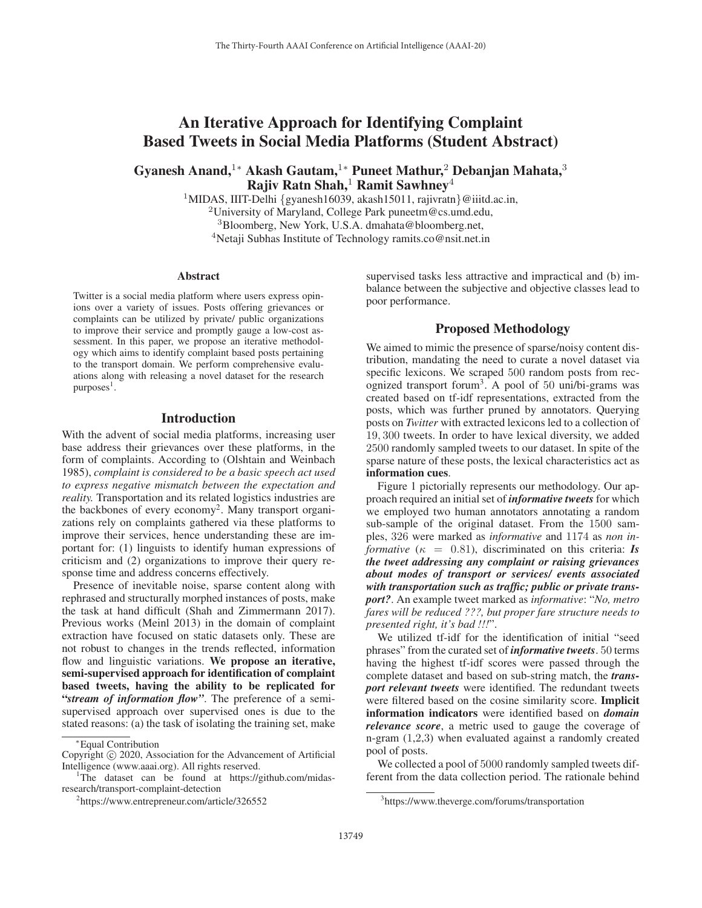# An Iterative Approach for Identifying Complaint Based Tweets in Social Media Platforms (Student Abstract)

Gyanesh Anand,<sup>1</sup><sup>∗</sup> Akash Gautam,<sup>1</sup><sup>∗</sup> Puneet Mathur,<sup>2</sup> Debanjan Mahata,<sup>3</sup> Rajiv Ratn Shah, $<sup>1</sup>$  Ramit Sawhney<sup>4</sup></sup>

<sup>1</sup>MIDAS, IIIT-Delhi {gyanesh16039, akash15011, rajivratn}@iiitd.ac.in,

<sup>2</sup>University of Maryland, College Park puneetm@cs.umd.edu,

<sup>3</sup>Bloomberg, New York, U.S.A. dmahata@bloomberg.net,

<sup>4</sup>Netaji Subhas Institute of Technology ramits.co@nsit.net.in

#### Abstract

Twitter is a social media platform where users express opinions over a variety of issues. Posts offering grievances or complaints can be utilized by private/ public organizations to improve their service and promptly gauge a low-cost assessment. In this paper, we propose an iterative methodology which aims to identify complaint based posts pertaining to the transport domain. We perform comprehensive evaluations along with releasing a novel dataset for the research  $p$ urposes<sup>1</sup>.

#### Introduction

With the advent of social media platforms, increasing user base address their grievances over these platforms, in the form of complaints. According to (Olshtain and Weinbach 1985), *complaint is considered to be a basic speech act used to express negative mismatch between the expectation and reality.* Transportation and its related logistics industries are the backbones of every economy2. Many transport organizations rely on complaints gathered via these platforms to improve their services, hence understanding these are important for: (1) linguists to identify human expressions of criticism and (2) organizations to improve their query response time and address concerns effectively.

Presence of inevitable noise, sparse content along with rephrased and structurally morphed instances of posts, make the task at hand difficult (Shah and Zimmermann 2017). Previous works (Meinl 2013) in the domain of complaint extraction have focused on static datasets only. These are not robust to changes in the trends reflected, information flow and linguistic variations. We propose an iterative, semi-supervised approach for identification of complaint based tweets, having the ability to be replicated for "*stream of information flow"*. The preference of a semisupervised approach over supervised ones is due to the stated reasons: (a) the task of isolating the training set, make

supervised tasks less attractive and impractical and (b) imbalance between the subjective and objective classes lead to poor performance.

## Proposed Methodology

We aimed to mimic the presence of sparse/noisy content distribution, mandating the need to curate a novel dataset via specific lexicons. We scraped 500 random posts from recognized transport forum3. A pool of 50 uni/bi-grams was created based on tf-idf representations, extracted from the posts, which was further pruned by annotators. Querying posts on *Twitter* with extracted lexicons led to a collection of 19, 300 tweets. In order to have lexical diversity, we added 2500 randomly sampled tweets to our dataset. In spite of the sparse nature of these posts, the lexical characteristics act as information cues.

Figure 1 pictorially represents our methodology. Our approach required an initial set of *informative tweets* for which we employed two human annotators annotating a random sub-sample of the original dataset. From the 1500 samples, 326 were marked as *informative* and 1174 as *non informative* ( $\kappa = 0.81$ ), discriminated on this criteria: **Is** *the tweet addressing any complaint or raising grievances about modes of transport or services/ events associated with transportation such as traffic; public or private transport?*. An example tweet marked as *informative*: "*No, metro fares will be reduced ???, but proper fare structure needs to presented right, it's bad !!!*".

We utilized tf-idf for the identification of initial "seed phrases" from the curated set of *informative tweets*. 50 terms having the highest tf-idf scores were passed through the complete dataset and based on sub-string match, the *transport relevant tweets* were identified. The redundant tweets were filtered based on the cosine similarity score. Implicit information indicators were identified based on *domain relevance score*, a metric used to gauge the coverage of n-gram (1,2,3) when evaluated against a randomly created pool of posts.

We collected a pool of 5000 randomly sampled tweets different from the data collection period. The rationale behind

<sup>∗</sup>Equal Contribution

Copyright  $\odot$  2020, Association for the Advancement of Artificial Intelligence (www.aaai.org). All rights reserved.

<sup>&</sup>lt;sup>1</sup>The dataset can be found at https://github.com/midasresearch/transport-complaint-detection

<sup>2</sup> https://www.entrepreneur.com/article/326552

<sup>3</sup> https://www.theverge.com/forums/transportation